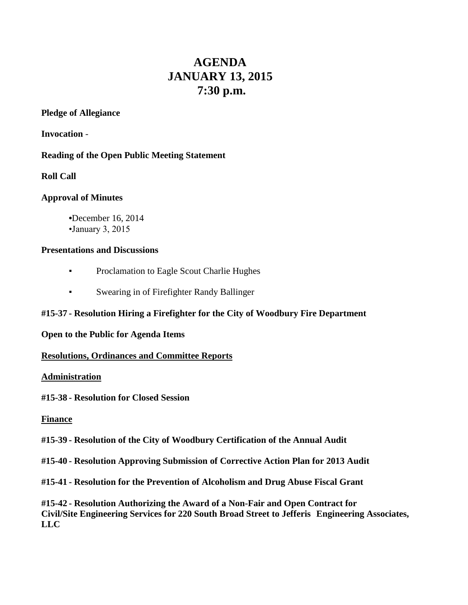# **AGENDA JANUARY 13, 2015 7:30 p.m.**

# **Pledge of Allegiance**

**Invocation** -

# **Reading of the Open Public Meeting Statement**

# **Roll Call**

# **Approval of Minutes**

**•**December 16, 2014 •January 3, 2015

## **Presentations and Discussions**

- **•** Proclamation to Eagle Scout Charlie Hughes
- **Swearing in of Firefighter Randy Ballinger**

# **#15-37 - Resolution Hiring a Firefighter for the City of Woodbury Fire Department**

#### **Open to the Public for Agenda Items**

#### **Resolutions, Ordinances and Committee Reports**

#### **Administration**

#### **#15-38 - Resolution for Closed Session**

#### **Finance**

#### **#15-39 - Resolution of the City of Woodbury Certification of the Annual Audit**

**#15-40 - Resolution Approving Submission of Corrective Action Plan for 2013 Audit**

**#15-41 - Resolution for the Prevention of Alcoholism and Drug Abuse Fiscal Grant**

**#15-42 - Resolution Authorizing the Award of a Non-Fair and Open Contract for Civil/Site Engineering Services for 220 South Broad Street to Jefferis Engineering Associates, LLC**